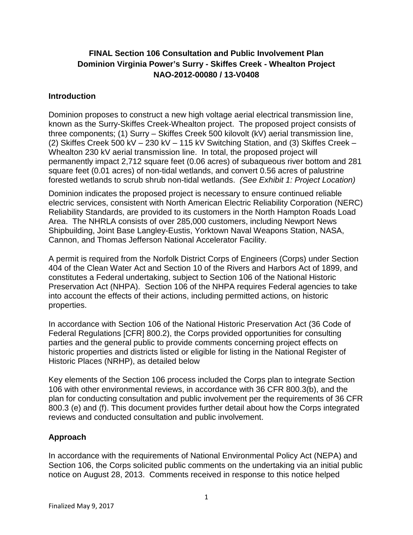## **FINAL Section 106 Consultation and Public Involvement Plan Dominion Virginia Power's Surry - Skiffes Creek - Whealton Project NAO-2012-00080 / 13-V0408**

#### **Introduction**

Dominion proposes to construct a new high voltage aerial electrical transmission line, known as the Surry-Skiffes Creek-Whealton project. The proposed project consists of three components; (1) Surry – Skiffes Creek 500 kilovolt (kV) aerial transmission line, (2) Skiffes Creek 500 kV – 230 kV – 115 kV Switching Station, and (3) Skiffes Creek – Whealton 230 kV aerial transmission line. In total, the proposed project will permanently impact 2,712 square feet (0.06 acres) of subaqueous river bottom and 281 square feet (0.01 acres) of non-tidal wetlands, and convert 0.56 acres of palustrine forested wetlands to scrub shrub non-tidal wetlands. *(See Exhibit 1: Project Location)*

Dominion indicates the proposed project is necessary to ensure continued reliable electric services, consistent with North American Electric Reliability Corporation (NERC) Reliability Standards, are provided to its customers in the North Hampton Roads Load Area. The NHRLA consists of over 285,000 customers, including Newport News Shipbuilding, Joint Base Langley-Eustis, Yorktown Naval Weapons Station, NASA, Cannon, and Thomas Jefferson National Accelerator Facility.

A permit is required from the Norfolk District Corps of Engineers (Corps) under Section 404 of the Clean Water Act and Section 10 of the Rivers and Harbors Act of 1899, and constitutes a Federal undertaking, subject to Section 106 of the National Historic Preservation Act (NHPA). Section 106 of the NHPA requires Federal agencies to take into account the effects of their actions, including permitted actions, on historic properties.

In accordance with Section 106 of the National Historic Preservation Act (36 Code of Federal Regulations [CFR] 800.2), the Corps provided opportunities for consulting parties and the general public to provide comments concerning project effects on historic properties and districts listed or eligible for listing in the National Register of Historic Places (NRHP), as detailed below

Key elements of the Section 106 process included the Corps plan to integrate Section 106 with other environmental reviews, in accordance with 36 CFR 800.3(b), and the plan for conducting consultation and public involvement per the requirements of 36 CFR 800.3 (e) and (f). This document provides further detail about how the Corps integrated reviews and conducted consultation and public involvement.

## **Approach**

In accordance with the requirements of National Environmental Policy Act (NEPA) and Section 106, the Corps solicited public comments on the undertaking via an initial public notice on August 28, 2013. Comments received in response to this notice helped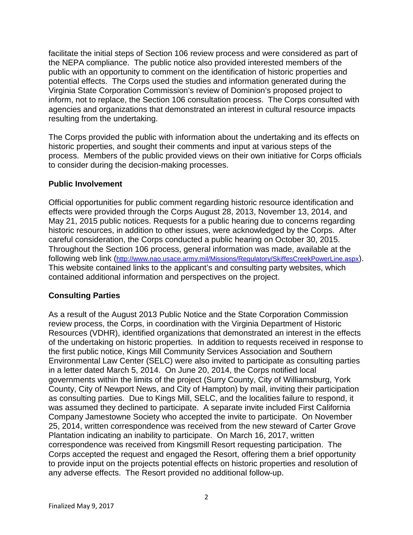facilitate the initial steps of Section 106 review process and were considered as part of the NEPA compliance. The public notice also provided interested members of the public with an opportunity to comment on the identification of historic properties and potential effects. The Corps used the studies and information generated during the Virginia State Corporation Commission's review of Dominion's proposed project to inform, not to replace, the Section 106 consultation process. The Corps consulted with agencies and organizations that demonstrated an interest in cultural resource impacts resulting from the undertaking.

The Corps provided the public with information about the undertaking and its effects on historic properties, and sought their comments and input at various steps of the process. Members of the public provided views on their own initiative for Corps officials to consider during the decision-making processes.

#### **Public Involvement**

Official opportunities for public comment regarding historic resource identification and effects were provided through the Corps August 28, 2013, November 13, 2014, and May 21, 2015 public notices. Requests for a public hearing due to concerns regarding historic resources, in addition to other issues, were acknowledged by the Corps. After careful consideration, the Corps conducted a public hearing on October 30, 2015. Throughout the Section 106 process, general information was made, available at the following web link [\(http://www.nao.usace.army.mil/Missions/Regulatory/SkiffesCreekPowerLine.aspx\)](http://www.nao.usace.army.mil/Missions/Regulatory/SkiffesCreekPowerLine.aspx). This website contained links to the applicant's and consulting party websites, which contained additional information and perspectives on the project.

## **Consulting Parties**

As a result of the August 2013 Public Notice and the State Corporation Commission review process, the Corps, in coordination with the Virginia Department of Historic Resources (VDHR), identified organizations that demonstrated an interest in the effects of the undertaking on historic properties. In addition to requests received in response to the first public notice, Kings Mill Community Services Association and Southern Environmental Law Center (SELC) were also invited to participate as consulting parties in a letter dated March 5, 2014. On June 20, 2014, the Corps notified local governments within the limits of the project (Surry County, City of Williamsburg, York County, City of Newport News, and City of Hampton) by mail, inviting their participation as consulting parties. Due to Kings Mill, SELC, and the localities failure to respond, it was assumed they declined to participate. A separate invite included First California Company Jamestowne Society who accepted the invite to participate. On November 25, 2014, written correspondence was received from the new steward of Carter Grove Plantation indicating an inability to participate. On March 16, 2017, written correspondence was received from Kingsmill Resort requesting participation. The Corps accepted the request and engaged the Resort, offering them a brief opportunity to provide input on the projects potential effects on historic properties and resolution of any adverse effects. The Resort provided no additional follow-up.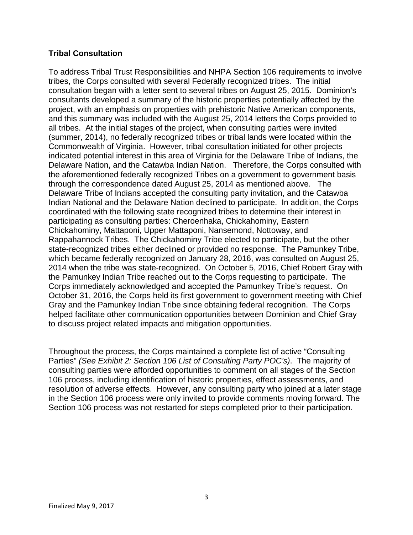#### **Tribal Consultation**

To address Tribal Trust Responsibilities and NHPA Section 106 requirements to involve tribes, the Corps consulted with several Federally recognized tribes. The initial consultation began with a letter sent to several tribes on August 25, 2015. Dominion's consultants developed a summary of the historic properties potentially affected by the project, with an emphasis on properties with prehistoric Native American components, and this summary was included with the August 25, 2014 letters the Corps provided to all tribes. At the initial stages of the project, when consulting parties were invited (summer, 2014), no federally recognized tribes or tribal lands were located within the Commonwealth of Virginia. However, tribal consultation initiated for other projects indicated potential interest in this area of Virginia for the Delaware Tribe of Indians, the Delaware Nation, and the Catawba Indian Nation. Therefore, the Corps consulted with the aforementioned federally recognized Tribes on a government to government basis through the correspondence dated August 25, 2014 as mentioned above. The Delaware Tribe of Indians accepted the consulting party invitation, and the Catawba Indian National and the Delaware Nation declined to participate. In addition, the Corps coordinated with the following state recognized tribes to determine their interest in participating as consulting parties: Cheroenhaka, Chickahominy, Eastern Chickahominy, Mattaponi, Upper Mattaponi, Nansemond, Nottoway, and Rappahannock Tribes. The Chickahominy Tribe elected to participate, but the other state-recognized tribes either declined or provided no response. The Pamunkey Tribe, which became federally recognized on January 28, 2016, was consulted on August 25, 2014 when the tribe was state-recognized. On October 5, 2016, Chief Robert Gray with the Pamunkey Indian Tribe reached out to the Corps requesting to participate. The Corps immediately acknowledged and accepted the Pamunkey Tribe's request. On October 31, 2016, the Corps held its first government to government meeting with Chief Gray and the Pamunkey Indian Tribe since obtaining federal recognition. The Corps helped facilitate other communication opportunities between Dominion and Chief Gray to discuss project related impacts and mitigation opportunities.

Throughout the process, the Corps maintained a complete list of active "Consulting Parties" *(See Exhibit 2: Section 106 List of Consulting Party POC's)*. The majority of consulting parties were afforded opportunities to comment on all stages of the Section 106 process, including identification of historic properties, effect assessments, and resolution of adverse effects. However, any consulting party who joined at a later stage in the Section 106 process were only invited to provide comments moving forward. The Section 106 process was not restarted for steps completed prior to their participation.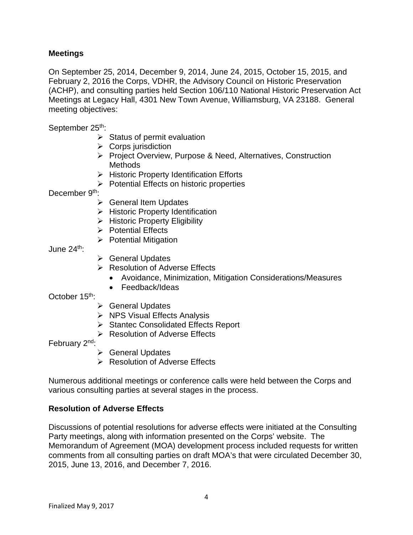## **Meetings**

On September 25, 2014, December 9, 2014, June 24, 2015, October 15, 2015, and February 2, 2016 the Corps, VDHR, the Advisory Council on Historic Preservation (ACHP), and consulting parties held Section 106/110 National Historic Preservation Act Meetings at Legacy Hall, 4301 New Town Avenue, Williamsburg, VA 23188. General meeting objectives:

September 25<sup>th</sup>:

- $\triangleright$  Status of permit evaluation
- $\triangleright$  Corps jurisdiction
- ▶ Project Overview, Purpose & Need, Alternatives, Construction **Methods**
- $\triangleright$  Historic Property Identification Efforts
- $\triangleright$  Potential Effects on historic properties

December 9<sup>th</sup>:

- **▶ General Item Updates**
- $\triangleright$  Historic Property Identification
- $\triangleright$  Historic Property Eligibility
- $\triangleright$  Potential Effects
- $\triangleright$  Potential Mitigation

June 24th:

- General Updates
- $\triangleright$  Resolution of Adverse Effects
	- Avoidance, Minimization, Mitigation Considerations/Measures
	- Feedback/Ideas

October 15<sup>th</sup>:

- **► General Updates**
- $\triangleright$  NPS Visual Effects Analysis
- $\triangleright$  Stantec Consolidated Effects Report
- **EXEC** Resolution of Adverse Effects

February 2nd:

- **≻** General Updates
- $\triangleright$  Resolution of Adverse Effects

Numerous additional meetings or conference calls were held between the Corps and various consulting parties at several stages in the process.

#### **Resolution of Adverse Effects**

Discussions of potential resolutions for adverse effects were initiated at the Consulting Party meetings, along with information presented on the Corps' website. The Memorandum of Agreement (MOA) development process included requests for written comments from all consulting parties on draft MOA's that were circulated December 30, 2015, June 13, 2016, and December 7, 2016.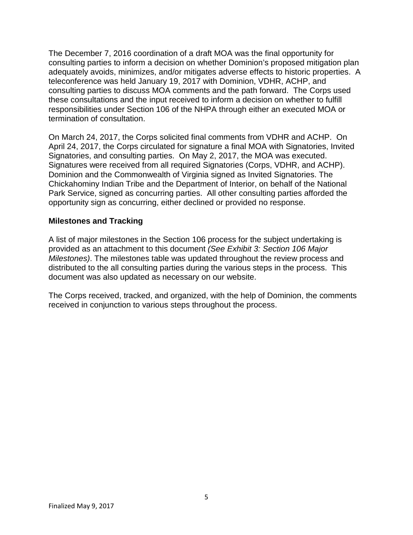The December 7, 2016 coordination of a draft MOA was the final opportunity for consulting parties to inform a decision on whether Dominion's proposed mitigation plan adequately avoids, minimizes, and/or mitigates adverse effects to historic properties. A teleconference was held January 19, 2017 with Dominion, VDHR, ACHP, and consulting parties to discuss MOA comments and the path forward. The Corps used these consultations and the input received to inform a decision on whether to fulfill responsibilities under Section 106 of the NHPA through either an executed MOA or termination of consultation.

On March 24, 2017, the Corps solicited final comments from VDHR and ACHP. On April 24, 2017, the Corps circulated for signature a final MOA with Signatories, Invited Signatories, and consulting parties. On May 2, 2017, the MOA was executed. Signatures were received from all required Signatories (Corps, VDHR, and ACHP). Dominion and the Commonwealth of Virginia signed as Invited Signatories. The Chickahominy Indian Tribe and the Department of Interior, on behalf of the National Park Service, signed as concurring parties. All other consulting parties afforded the opportunity sign as concurring, either declined or provided no response.

### **Milestones and Tracking**

A list of major milestones in the Section 106 process for the subject undertaking is provided as an attachment to this document *(See Exhibit 3: Section 106 Major Milestones)*. The milestones table was updated throughout the review process and distributed to the all consulting parties during the various steps in the process. This document was also updated as necessary on our website.

The Corps received, tracked, and organized, with the help of Dominion, the comments received in conjunction to various steps throughout the process.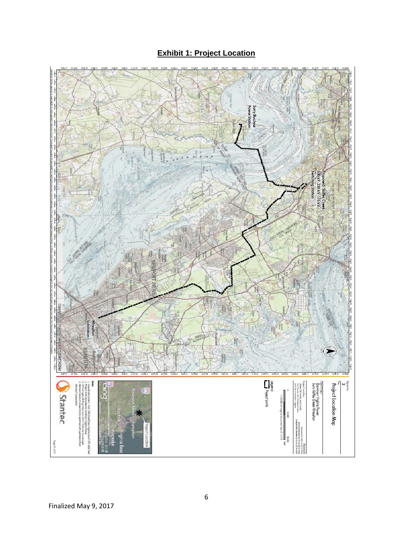# **Exhibit 1: Project Location**

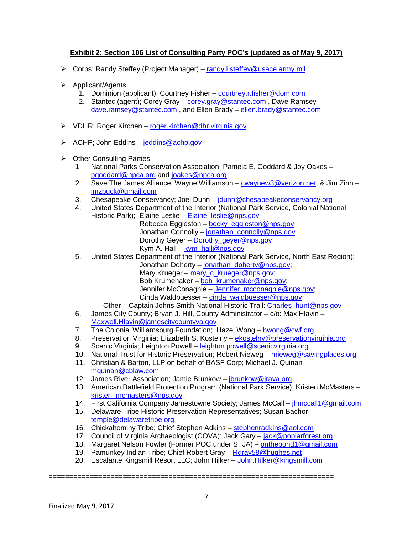#### **Exhibit 2: Section 106 List of Consulting Party POC's (updated as of May 9, 2017)**

- $\triangleright$  Corps; Randy Steffey (Project Manager) [randy.l.steffey@usace.army.mil](mailto:randy.l.steffey@usace.army.mil)
- $\triangleright$  Applicant/Agents;
	- 1. Dominion (applicant); Courtney Fisher [courtney.r.fisher@dom.com](mailto:courtney.r.fisher@dom.com)
	- 2. Stantec (agent); Corey Gray [corey.gray@stantec.com](mailto:corey.gray@stantec.com) , Dave Ramsey [dave.ramsey@stantec.com](mailto:dave.ramsey@stantec.com) , and Ellen Brady – [ellen.brady@stantec.com](mailto:ellen.brady@stantec.com)
- VDHR; Roger Kirchen [roger.kirchen@dhr.virginia.gov](mailto:roger.kirchen@dhr.virginia.gov)
- $\triangleright$  ACHP; John Eddins jeddins @achp.gov
- $\triangleright$  Other Consulting Parties
	- 1. National Parks Conservation Association; Pamela E. Goddard & Joy Oakes [pgoddard@npca.org](mailto:pgoddard@npca.org) and [joakes@npca.org](mailto:joakes@npca.org)
	- 2. Save The James Alliance; Wayne Williamson [cwaynew3@verizon.net](mailto:cwaynew3@verizon.net) & Jim Zinn [jmzbuck@gmail.com](mailto:jmzbuck@gmail.com)
	- 3. Chesapeake Conservancy; Joel Dunn [jdunn@chesapeakeconservancy.org](mailto:jdunn@chesapeakeconservancy.org)
	- 4. United States Department of the Interior (National Park Service, Colonial National Historic Park); Elaine Leslie – [Elaine\\_leslie@nps.gov](mailto:Elaine_leslie@nps.gov)
		- Rebecca Eggleston [becky\\_eggleston@nps.gov](mailto:becky_eggleston@nps.gov) Jonathan Connolly – [jonathan\\_connolly@nps.gov](mailto:jonathan_connolly@nps.gov) Dorothy Geyer – Dorothy geyer@nps.gov Kym A. Hall – kym hall@nps.gov
	- 5. United States Department of the Interior (National Park Service, North East Region);

Jonathan Doherty – jonathan doherty@nps.gov;

Mary Krueger – mary c\_krueger@nps.gov;

Bob Krumenaker – [bob\\_krumenaker@nps.gov;](mailto:bob_krumenaker@nps.gov)

Jennifer McConaghie – [Jennifer\\_mcconaghie@nps.gov;](mailto:Jennifer_mcconaghie@nps.gov)

Cinda Waldbuesser – [cinda\\_waldbuesser@nps.gov](mailto:cinda_waldbuesser@nps.gov)

Other – Captain Johns Smith National Historic Trail: Charles hunt@nps.gov

- 6. James City County; Bryan J. Hill, County Administrator c/o: Max Hlavin [Maxwell.Hlavin@jamescitycountyva.gov](mailto:Maxwell.Hlavin@jamescitycountyva.gov)
- 7. The Colonial Williamsburg Foundation; Hazel Wong [hwong@cwf.org](mailto:hwong@cwf.org)
- 8. Preservation Virginia; Elizabeth S. Kostelny [ekostelny@preservationvirginia.org](mailto:ekostelny@preservationvirginia.org)
- 9. Scenic Virginia; Leighton Powell [leighton.powell@scenicvirginia.org](mailto:leighton.powell@scenicvirginia.org)
- 10. National Trust for Historic Preservation; Robert Nieweg [rnieweg@savingplaces.org](mailto:rnieweg@savingplaces.org)
- 11. Christian & Barton, LLP on behalf of BASF Corp; Michael J. Quinan [mquinan@cblaw.com](mailto:mquinan@cblaw.com)
- 12. James River Association; Jamie Brunkow [jbrunkow@jrava.org](mailto:jbrunkow@jrava.org)
- 13. American Battlefield Protection Program (National Park Service); Kristen McMasters [kristen\\_mcmasters@nps.gov](mailto:kristen_mcmasters@nps.gov)
- 14. First California Company Jamestowne Society; James McCall [jhmccall1@gmail.com](mailto:jhmccall1@gmail.com)
- 15. Delaware Tribe Historic Preservation Representatives; Susan Bachor [temple@delawaretribe.org](mailto:temple@delawaretribe.org)
- 16. Chickahominy Tribe; Chief Stephen Adkins [stephenradkins@aol.com](mailto:stephenradkins@aol.com)
- 17. Council of Virginia Archaeologist (COVA); Jack Gary [jack@poplarforest.org](mailto:jack@poplarforest.org)
- 18. Margaret Nelson Fowler (Former POC under STJA) [onthepond1@gmail.com](mailto:onthepond1@gmail.com)
- 19. Pamunkey Indian Tribe; Chief Robert Gray [Rgray58@hughes.net](mailto:Rgray58@hughes.net)
- 20. Escalante Kingsmill Resort LLC; John Hilker John. Hilker@kingsmill.com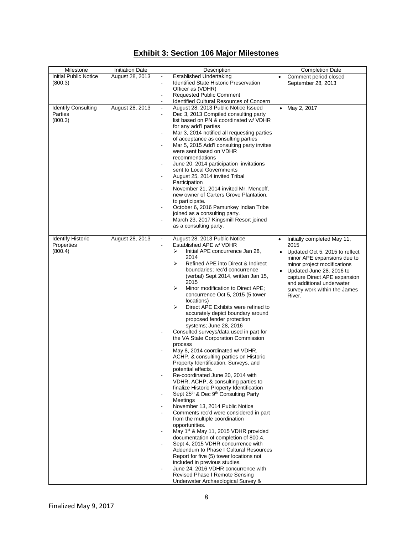## **Exhibit 3: Section 106 Major Milestones**

| <b>Initiation Date</b><br><b>Completion Date</b><br>Description<br><b>Initial Public Notice</b><br>August 28, 2013<br><b>Established Undertaking</b><br>$\blacksquare$<br>Comment period closed<br>$\bullet$<br>Identified State Historic Preservation<br>(800.3)<br>$\blacksquare$<br>September 28, 2013<br>Officer as (VDHR)<br><b>Requested Public Comment</b><br>$\blacksquare$<br>Identified Cultural Resources of Concern<br>$\blacksquare$<br>August 28, 2013<br>August 28, 2013 Public Notice Issued<br><b>Identify Consulting</b><br>• May 2, 2017<br>$\blacksquare$<br>Parties<br>Dec 3, 2013 Compiled consulting party<br>$\blacksquare$<br>list based on PN & coordinated w/ VDHR<br>(800.3)<br>for any add'l parties<br>Mar 3, 2014 notified all requesting parties<br>$\overline{\phantom{a}}$<br>of acceptance as consulting parties<br>Mar 5, 2015 Add'l consulting party invites<br>$\blacksquare$<br>were sent based on VDHR<br>recommendations<br>June 20, 2014 participation invitations<br>$\blacksquare$<br>sent to Local Governments<br>August 25, 2014 invited Tribal<br>$\blacksquare$<br>Participation<br>November 21, 2014 invited Mr. Mencoff,<br>$\blacksquare$<br>new owner of Carters Grove Plantation,<br>to participate.<br>October 6, 2016 Pamunkey Indian Tribe<br>$\blacksquare$<br>joined as a consulting party.<br>March 23, 2017 Kingsmill Resort joined<br>$\blacksquare$<br>as a consulting party.<br><b>Identify Historic</b><br>August 28, 2013<br>August 28, 2013 Public Notice<br>Initially completed May 11,<br>$\blacksquare$<br>$\bullet$<br>Properties<br>Established APE w/ VDHR<br>$\blacksquare$<br>2015<br>(800.4)<br>Initial APE concurrence Jan 28,<br>➤<br>Updated Oct 5, 2015 to reflect<br>2014<br>minor APE expansions due to<br>Refined APE into Direct & Indirect<br>⋗<br>minor project modifications<br>boundaries; rec'd concurrence<br>Updated June 28, 2016 to<br>(verbal) Sept 2014, written Jan 15,<br>capture Direct APE expansion<br>2015<br>and additional underwater<br>⋗<br>Minor modification to Direct APE;<br>survey work within the James<br>concurrence Oct 5, 2015 (5 tower<br>River.<br>locations)<br>Direct APE Exhibits were refined to<br>⋗<br>accurately depict boundary around<br>proposed fender protection<br>systems; June 28, 2016<br>Consulted surveys/data used in part for<br>the VA State Corporation Commission<br>process<br>May 8, 2014 coordinated w/ VDHR,<br>$\overline{\phantom{a}}$<br>ACHP, & consulting parties on Historic<br>Property Identification, Surveys, and<br>potential effects.<br>Re-coordinated June 20, 2014 with<br>$\blacksquare$<br>VDHR, ACHP, & consulting parties to<br>finalize Historic Property Identification<br>Sept 25 <sup>th</sup> & Dec 9 <sup>th</sup> Consulting Party<br>$\blacksquare$<br><b>Meetings</b><br>November 13, 2014 Public Notice<br>$\blacksquare$<br>Comments rec'd were considered in part<br>$\blacksquare$<br>from the multiple coordination<br>opportunities.<br>May 1 <sup>st</sup> & May 11, 2015 VDHR provided<br>$\blacksquare$<br>documentation of completion of 800.4.<br>Sept 4, 2015 VDHR concurrence with<br>$\mathbf{r}$<br>Addendum to Phase I Cultural Resources<br>Report for five (5) tower locations not<br>included in previous studies.<br>June 24, 2016 VDHR concurrence with<br>Revised Phase I Remote Sensing |           |                                    |  |
|-------------------------------------------------------------------------------------------------------------------------------------------------------------------------------------------------------------------------------------------------------------------------------------------------------------------------------------------------------------------------------------------------------------------------------------------------------------------------------------------------------------------------------------------------------------------------------------------------------------------------------------------------------------------------------------------------------------------------------------------------------------------------------------------------------------------------------------------------------------------------------------------------------------------------------------------------------------------------------------------------------------------------------------------------------------------------------------------------------------------------------------------------------------------------------------------------------------------------------------------------------------------------------------------------------------------------------------------------------------------------------------------------------------------------------------------------------------------------------------------------------------------------------------------------------------------------------------------------------------------------------------------------------------------------------------------------------------------------------------------------------------------------------------------------------------------------------------------------------------------------------------------------------------------------------------------------------------------------------------------------------------------------------------------------------------------------------------------------------------------------------------------------------------------------------------------------------------------------------------------------------------------------------------------------------------------------------------------------------------------------------------------------------------------------------------------------------------------------------------------------------------------------------------------------------------------------------------------------------------------------------------------------------------------------------------------------------------------------------------------------------------------------------------------------------------------------------------------------------------------------------------------------------------------------------------------------------------------------------------------------------------------------------------------------------------------------------------------------------------------------------------------------------------------------------------------------------------------------------------------------------------------------------------------------------------------------------------------------------------------------------------------|-----------|------------------------------------|--|
|                                                                                                                                                                                                                                                                                                                                                                                                                                                                                                                                                                                                                                                                                                                                                                                                                                                                                                                                                                                                                                                                                                                                                                                                                                                                                                                                                                                                                                                                                                                                                                                                                                                                                                                                                                                                                                                                                                                                                                                                                                                                                                                                                                                                                                                                                                                                                                                                                                                                                                                                                                                                                                                                                                                                                                                                                                                                                                                                                                                                                                                                                                                                                                                                                                                                                                                                                                                           | Milestone |                                    |  |
|                                                                                                                                                                                                                                                                                                                                                                                                                                                                                                                                                                                                                                                                                                                                                                                                                                                                                                                                                                                                                                                                                                                                                                                                                                                                                                                                                                                                                                                                                                                                                                                                                                                                                                                                                                                                                                                                                                                                                                                                                                                                                                                                                                                                                                                                                                                                                                                                                                                                                                                                                                                                                                                                                                                                                                                                                                                                                                                                                                                                                                                                                                                                                                                                                                                                                                                                                                                           |           |                                    |  |
|                                                                                                                                                                                                                                                                                                                                                                                                                                                                                                                                                                                                                                                                                                                                                                                                                                                                                                                                                                                                                                                                                                                                                                                                                                                                                                                                                                                                                                                                                                                                                                                                                                                                                                                                                                                                                                                                                                                                                                                                                                                                                                                                                                                                                                                                                                                                                                                                                                                                                                                                                                                                                                                                                                                                                                                                                                                                                                                                                                                                                                                                                                                                                                                                                                                                                                                                                                                           |           |                                    |  |
|                                                                                                                                                                                                                                                                                                                                                                                                                                                                                                                                                                                                                                                                                                                                                                                                                                                                                                                                                                                                                                                                                                                                                                                                                                                                                                                                                                                                                                                                                                                                                                                                                                                                                                                                                                                                                                                                                                                                                                                                                                                                                                                                                                                                                                                                                                                                                                                                                                                                                                                                                                                                                                                                                                                                                                                                                                                                                                                                                                                                                                                                                                                                                                                                                                                                                                                                                                                           |           |                                    |  |
|                                                                                                                                                                                                                                                                                                                                                                                                                                                                                                                                                                                                                                                                                                                                                                                                                                                                                                                                                                                                                                                                                                                                                                                                                                                                                                                                                                                                                                                                                                                                                                                                                                                                                                                                                                                                                                                                                                                                                                                                                                                                                                                                                                                                                                                                                                                                                                                                                                                                                                                                                                                                                                                                                                                                                                                                                                                                                                                                                                                                                                                                                                                                                                                                                                                                                                                                                                                           |           |                                    |  |
|                                                                                                                                                                                                                                                                                                                                                                                                                                                                                                                                                                                                                                                                                                                                                                                                                                                                                                                                                                                                                                                                                                                                                                                                                                                                                                                                                                                                                                                                                                                                                                                                                                                                                                                                                                                                                                                                                                                                                                                                                                                                                                                                                                                                                                                                                                                                                                                                                                                                                                                                                                                                                                                                                                                                                                                                                                                                                                                                                                                                                                                                                                                                                                                                                                                                                                                                                                                           |           |                                    |  |
|                                                                                                                                                                                                                                                                                                                                                                                                                                                                                                                                                                                                                                                                                                                                                                                                                                                                                                                                                                                                                                                                                                                                                                                                                                                                                                                                                                                                                                                                                                                                                                                                                                                                                                                                                                                                                                                                                                                                                                                                                                                                                                                                                                                                                                                                                                                                                                                                                                                                                                                                                                                                                                                                                                                                                                                                                                                                                                                                                                                                                                                                                                                                                                                                                                                                                                                                                                                           |           |                                    |  |
|                                                                                                                                                                                                                                                                                                                                                                                                                                                                                                                                                                                                                                                                                                                                                                                                                                                                                                                                                                                                                                                                                                                                                                                                                                                                                                                                                                                                                                                                                                                                                                                                                                                                                                                                                                                                                                                                                                                                                                                                                                                                                                                                                                                                                                                                                                                                                                                                                                                                                                                                                                                                                                                                                                                                                                                                                                                                                                                                                                                                                                                                                                                                                                                                                                                                                                                                                                                           |           |                                    |  |
|                                                                                                                                                                                                                                                                                                                                                                                                                                                                                                                                                                                                                                                                                                                                                                                                                                                                                                                                                                                                                                                                                                                                                                                                                                                                                                                                                                                                                                                                                                                                                                                                                                                                                                                                                                                                                                                                                                                                                                                                                                                                                                                                                                                                                                                                                                                                                                                                                                                                                                                                                                                                                                                                                                                                                                                                                                                                                                                                                                                                                                                                                                                                                                                                                                                                                                                                                                                           |           |                                    |  |
|                                                                                                                                                                                                                                                                                                                                                                                                                                                                                                                                                                                                                                                                                                                                                                                                                                                                                                                                                                                                                                                                                                                                                                                                                                                                                                                                                                                                                                                                                                                                                                                                                                                                                                                                                                                                                                                                                                                                                                                                                                                                                                                                                                                                                                                                                                                                                                                                                                                                                                                                                                                                                                                                                                                                                                                                                                                                                                                                                                                                                                                                                                                                                                                                                                                                                                                                                                                           |           |                                    |  |
|                                                                                                                                                                                                                                                                                                                                                                                                                                                                                                                                                                                                                                                                                                                                                                                                                                                                                                                                                                                                                                                                                                                                                                                                                                                                                                                                                                                                                                                                                                                                                                                                                                                                                                                                                                                                                                                                                                                                                                                                                                                                                                                                                                                                                                                                                                                                                                                                                                                                                                                                                                                                                                                                                                                                                                                                                                                                                                                                                                                                                                                                                                                                                                                                                                                                                                                                                                                           |           |                                    |  |
|                                                                                                                                                                                                                                                                                                                                                                                                                                                                                                                                                                                                                                                                                                                                                                                                                                                                                                                                                                                                                                                                                                                                                                                                                                                                                                                                                                                                                                                                                                                                                                                                                                                                                                                                                                                                                                                                                                                                                                                                                                                                                                                                                                                                                                                                                                                                                                                                                                                                                                                                                                                                                                                                                                                                                                                                                                                                                                                                                                                                                                                                                                                                                                                                                                                                                                                                                                                           |           |                                    |  |
|                                                                                                                                                                                                                                                                                                                                                                                                                                                                                                                                                                                                                                                                                                                                                                                                                                                                                                                                                                                                                                                                                                                                                                                                                                                                                                                                                                                                                                                                                                                                                                                                                                                                                                                                                                                                                                                                                                                                                                                                                                                                                                                                                                                                                                                                                                                                                                                                                                                                                                                                                                                                                                                                                                                                                                                                                                                                                                                                                                                                                                                                                                                                                                                                                                                                                                                                                                                           |           |                                    |  |
|                                                                                                                                                                                                                                                                                                                                                                                                                                                                                                                                                                                                                                                                                                                                                                                                                                                                                                                                                                                                                                                                                                                                                                                                                                                                                                                                                                                                                                                                                                                                                                                                                                                                                                                                                                                                                                                                                                                                                                                                                                                                                                                                                                                                                                                                                                                                                                                                                                                                                                                                                                                                                                                                                                                                                                                                                                                                                                                                                                                                                                                                                                                                                                                                                                                                                                                                                                                           |           |                                    |  |
|                                                                                                                                                                                                                                                                                                                                                                                                                                                                                                                                                                                                                                                                                                                                                                                                                                                                                                                                                                                                                                                                                                                                                                                                                                                                                                                                                                                                                                                                                                                                                                                                                                                                                                                                                                                                                                                                                                                                                                                                                                                                                                                                                                                                                                                                                                                                                                                                                                                                                                                                                                                                                                                                                                                                                                                                                                                                                                                                                                                                                                                                                                                                                                                                                                                                                                                                                                                           |           |                                    |  |
|                                                                                                                                                                                                                                                                                                                                                                                                                                                                                                                                                                                                                                                                                                                                                                                                                                                                                                                                                                                                                                                                                                                                                                                                                                                                                                                                                                                                                                                                                                                                                                                                                                                                                                                                                                                                                                                                                                                                                                                                                                                                                                                                                                                                                                                                                                                                                                                                                                                                                                                                                                                                                                                                                                                                                                                                                                                                                                                                                                                                                                                                                                                                                                                                                                                                                                                                                                                           |           |                                    |  |
|                                                                                                                                                                                                                                                                                                                                                                                                                                                                                                                                                                                                                                                                                                                                                                                                                                                                                                                                                                                                                                                                                                                                                                                                                                                                                                                                                                                                                                                                                                                                                                                                                                                                                                                                                                                                                                                                                                                                                                                                                                                                                                                                                                                                                                                                                                                                                                                                                                                                                                                                                                                                                                                                                                                                                                                                                                                                                                                                                                                                                                                                                                                                                                                                                                                                                                                                                                                           |           |                                    |  |
|                                                                                                                                                                                                                                                                                                                                                                                                                                                                                                                                                                                                                                                                                                                                                                                                                                                                                                                                                                                                                                                                                                                                                                                                                                                                                                                                                                                                                                                                                                                                                                                                                                                                                                                                                                                                                                                                                                                                                                                                                                                                                                                                                                                                                                                                                                                                                                                                                                                                                                                                                                                                                                                                                                                                                                                                                                                                                                                                                                                                                                                                                                                                                                                                                                                                                                                                                                                           |           |                                    |  |
|                                                                                                                                                                                                                                                                                                                                                                                                                                                                                                                                                                                                                                                                                                                                                                                                                                                                                                                                                                                                                                                                                                                                                                                                                                                                                                                                                                                                                                                                                                                                                                                                                                                                                                                                                                                                                                                                                                                                                                                                                                                                                                                                                                                                                                                                                                                                                                                                                                                                                                                                                                                                                                                                                                                                                                                                                                                                                                                                                                                                                                                                                                                                                                                                                                                                                                                                                                                           |           |                                    |  |
|                                                                                                                                                                                                                                                                                                                                                                                                                                                                                                                                                                                                                                                                                                                                                                                                                                                                                                                                                                                                                                                                                                                                                                                                                                                                                                                                                                                                                                                                                                                                                                                                                                                                                                                                                                                                                                                                                                                                                                                                                                                                                                                                                                                                                                                                                                                                                                                                                                                                                                                                                                                                                                                                                                                                                                                                                                                                                                                                                                                                                                                                                                                                                                                                                                                                                                                                                                                           |           |                                    |  |
|                                                                                                                                                                                                                                                                                                                                                                                                                                                                                                                                                                                                                                                                                                                                                                                                                                                                                                                                                                                                                                                                                                                                                                                                                                                                                                                                                                                                                                                                                                                                                                                                                                                                                                                                                                                                                                                                                                                                                                                                                                                                                                                                                                                                                                                                                                                                                                                                                                                                                                                                                                                                                                                                                                                                                                                                                                                                                                                                                                                                                                                                                                                                                                                                                                                                                                                                                                                           |           |                                    |  |
|                                                                                                                                                                                                                                                                                                                                                                                                                                                                                                                                                                                                                                                                                                                                                                                                                                                                                                                                                                                                                                                                                                                                                                                                                                                                                                                                                                                                                                                                                                                                                                                                                                                                                                                                                                                                                                                                                                                                                                                                                                                                                                                                                                                                                                                                                                                                                                                                                                                                                                                                                                                                                                                                                                                                                                                                                                                                                                                                                                                                                                                                                                                                                                                                                                                                                                                                                                                           |           |                                    |  |
|                                                                                                                                                                                                                                                                                                                                                                                                                                                                                                                                                                                                                                                                                                                                                                                                                                                                                                                                                                                                                                                                                                                                                                                                                                                                                                                                                                                                                                                                                                                                                                                                                                                                                                                                                                                                                                                                                                                                                                                                                                                                                                                                                                                                                                                                                                                                                                                                                                                                                                                                                                                                                                                                                                                                                                                                                                                                                                                                                                                                                                                                                                                                                                                                                                                                                                                                                                                           |           |                                    |  |
|                                                                                                                                                                                                                                                                                                                                                                                                                                                                                                                                                                                                                                                                                                                                                                                                                                                                                                                                                                                                                                                                                                                                                                                                                                                                                                                                                                                                                                                                                                                                                                                                                                                                                                                                                                                                                                                                                                                                                                                                                                                                                                                                                                                                                                                                                                                                                                                                                                                                                                                                                                                                                                                                                                                                                                                                                                                                                                                                                                                                                                                                                                                                                                                                                                                                                                                                                                                           |           |                                    |  |
|                                                                                                                                                                                                                                                                                                                                                                                                                                                                                                                                                                                                                                                                                                                                                                                                                                                                                                                                                                                                                                                                                                                                                                                                                                                                                                                                                                                                                                                                                                                                                                                                                                                                                                                                                                                                                                                                                                                                                                                                                                                                                                                                                                                                                                                                                                                                                                                                                                                                                                                                                                                                                                                                                                                                                                                                                                                                                                                                                                                                                                                                                                                                                                                                                                                                                                                                                                                           |           |                                    |  |
|                                                                                                                                                                                                                                                                                                                                                                                                                                                                                                                                                                                                                                                                                                                                                                                                                                                                                                                                                                                                                                                                                                                                                                                                                                                                                                                                                                                                                                                                                                                                                                                                                                                                                                                                                                                                                                                                                                                                                                                                                                                                                                                                                                                                                                                                                                                                                                                                                                                                                                                                                                                                                                                                                                                                                                                                                                                                                                                                                                                                                                                                                                                                                                                                                                                                                                                                                                                           |           |                                    |  |
|                                                                                                                                                                                                                                                                                                                                                                                                                                                                                                                                                                                                                                                                                                                                                                                                                                                                                                                                                                                                                                                                                                                                                                                                                                                                                                                                                                                                                                                                                                                                                                                                                                                                                                                                                                                                                                                                                                                                                                                                                                                                                                                                                                                                                                                                                                                                                                                                                                                                                                                                                                                                                                                                                                                                                                                                                                                                                                                                                                                                                                                                                                                                                                                                                                                                                                                                                                                           |           |                                    |  |
|                                                                                                                                                                                                                                                                                                                                                                                                                                                                                                                                                                                                                                                                                                                                                                                                                                                                                                                                                                                                                                                                                                                                                                                                                                                                                                                                                                                                                                                                                                                                                                                                                                                                                                                                                                                                                                                                                                                                                                                                                                                                                                                                                                                                                                                                                                                                                                                                                                                                                                                                                                                                                                                                                                                                                                                                                                                                                                                                                                                                                                                                                                                                                                                                                                                                                                                                                                                           |           |                                    |  |
|                                                                                                                                                                                                                                                                                                                                                                                                                                                                                                                                                                                                                                                                                                                                                                                                                                                                                                                                                                                                                                                                                                                                                                                                                                                                                                                                                                                                                                                                                                                                                                                                                                                                                                                                                                                                                                                                                                                                                                                                                                                                                                                                                                                                                                                                                                                                                                                                                                                                                                                                                                                                                                                                                                                                                                                                                                                                                                                                                                                                                                                                                                                                                                                                                                                                                                                                                                                           |           |                                    |  |
|                                                                                                                                                                                                                                                                                                                                                                                                                                                                                                                                                                                                                                                                                                                                                                                                                                                                                                                                                                                                                                                                                                                                                                                                                                                                                                                                                                                                                                                                                                                                                                                                                                                                                                                                                                                                                                                                                                                                                                                                                                                                                                                                                                                                                                                                                                                                                                                                                                                                                                                                                                                                                                                                                                                                                                                                                                                                                                                                                                                                                                                                                                                                                                                                                                                                                                                                                                                           |           |                                    |  |
|                                                                                                                                                                                                                                                                                                                                                                                                                                                                                                                                                                                                                                                                                                                                                                                                                                                                                                                                                                                                                                                                                                                                                                                                                                                                                                                                                                                                                                                                                                                                                                                                                                                                                                                                                                                                                                                                                                                                                                                                                                                                                                                                                                                                                                                                                                                                                                                                                                                                                                                                                                                                                                                                                                                                                                                                                                                                                                                                                                                                                                                                                                                                                                                                                                                                                                                                                                                           |           |                                    |  |
|                                                                                                                                                                                                                                                                                                                                                                                                                                                                                                                                                                                                                                                                                                                                                                                                                                                                                                                                                                                                                                                                                                                                                                                                                                                                                                                                                                                                                                                                                                                                                                                                                                                                                                                                                                                                                                                                                                                                                                                                                                                                                                                                                                                                                                                                                                                                                                                                                                                                                                                                                                                                                                                                                                                                                                                                                                                                                                                                                                                                                                                                                                                                                                                                                                                                                                                                                                                           |           |                                    |  |
|                                                                                                                                                                                                                                                                                                                                                                                                                                                                                                                                                                                                                                                                                                                                                                                                                                                                                                                                                                                                                                                                                                                                                                                                                                                                                                                                                                                                                                                                                                                                                                                                                                                                                                                                                                                                                                                                                                                                                                                                                                                                                                                                                                                                                                                                                                                                                                                                                                                                                                                                                                                                                                                                                                                                                                                                                                                                                                                                                                                                                                                                                                                                                                                                                                                                                                                                                                                           |           |                                    |  |
|                                                                                                                                                                                                                                                                                                                                                                                                                                                                                                                                                                                                                                                                                                                                                                                                                                                                                                                                                                                                                                                                                                                                                                                                                                                                                                                                                                                                                                                                                                                                                                                                                                                                                                                                                                                                                                                                                                                                                                                                                                                                                                                                                                                                                                                                                                                                                                                                                                                                                                                                                                                                                                                                                                                                                                                                                                                                                                                                                                                                                                                                                                                                                                                                                                                                                                                                                                                           |           |                                    |  |
|                                                                                                                                                                                                                                                                                                                                                                                                                                                                                                                                                                                                                                                                                                                                                                                                                                                                                                                                                                                                                                                                                                                                                                                                                                                                                                                                                                                                                                                                                                                                                                                                                                                                                                                                                                                                                                                                                                                                                                                                                                                                                                                                                                                                                                                                                                                                                                                                                                                                                                                                                                                                                                                                                                                                                                                                                                                                                                                                                                                                                                                                                                                                                                                                                                                                                                                                                                                           |           |                                    |  |
|                                                                                                                                                                                                                                                                                                                                                                                                                                                                                                                                                                                                                                                                                                                                                                                                                                                                                                                                                                                                                                                                                                                                                                                                                                                                                                                                                                                                                                                                                                                                                                                                                                                                                                                                                                                                                                                                                                                                                                                                                                                                                                                                                                                                                                                                                                                                                                                                                                                                                                                                                                                                                                                                                                                                                                                                                                                                                                                                                                                                                                                                                                                                                                                                                                                                                                                                                                                           |           |                                    |  |
|                                                                                                                                                                                                                                                                                                                                                                                                                                                                                                                                                                                                                                                                                                                                                                                                                                                                                                                                                                                                                                                                                                                                                                                                                                                                                                                                                                                                                                                                                                                                                                                                                                                                                                                                                                                                                                                                                                                                                                                                                                                                                                                                                                                                                                                                                                                                                                                                                                                                                                                                                                                                                                                                                                                                                                                                                                                                                                                                                                                                                                                                                                                                                                                                                                                                                                                                                                                           |           |                                    |  |
|                                                                                                                                                                                                                                                                                                                                                                                                                                                                                                                                                                                                                                                                                                                                                                                                                                                                                                                                                                                                                                                                                                                                                                                                                                                                                                                                                                                                                                                                                                                                                                                                                                                                                                                                                                                                                                                                                                                                                                                                                                                                                                                                                                                                                                                                                                                                                                                                                                                                                                                                                                                                                                                                                                                                                                                                                                                                                                                                                                                                                                                                                                                                                                                                                                                                                                                                                                                           |           |                                    |  |
|                                                                                                                                                                                                                                                                                                                                                                                                                                                                                                                                                                                                                                                                                                                                                                                                                                                                                                                                                                                                                                                                                                                                                                                                                                                                                                                                                                                                                                                                                                                                                                                                                                                                                                                                                                                                                                                                                                                                                                                                                                                                                                                                                                                                                                                                                                                                                                                                                                                                                                                                                                                                                                                                                                                                                                                                                                                                                                                                                                                                                                                                                                                                                                                                                                                                                                                                                                                           |           |                                    |  |
|                                                                                                                                                                                                                                                                                                                                                                                                                                                                                                                                                                                                                                                                                                                                                                                                                                                                                                                                                                                                                                                                                                                                                                                                                                                                                                                                                                                                                                                                                                                                                                                                                                                                                                                                                                                                                                                                                                                                                                                                                                                                                                                                                                                                                                                                                                                                                                                                                                                                                                                                                                                                                                                                                                                                                                                                                                                                                                                                                                                                                                                                                                                                                                                                                                                                                                                                                                                           |           |                                    |  |
|                                                                                                                                                                                                                                                                                                                                                                                                                                                                                                                                                                                                                                                                                                                                                                                                                                                                                                                                                                                                                                                                                                                                                                                                                                                                                                                                                                                                                                                                                                                                                                                                                                                                                                                                                                                                                                                                                                                                                                                                                                                                                                                                                                                                                                                                                                                                                                                                                                                                                                                                                                                                                                                                                                                                                                                                                                                                                                                                                                                                                                                                                                                                                                                                                                                                                                                                                                                           |           |                                    |  |
|                                                                                                                                                                                                                                                                                                                                                                                                                                                                                                                                                                                                                                                                                                                                                                                                                                                                                                                                                                                                                                                                                                                                                                                                                                                                                                                                                                                                                                                                                                                                                                                                                                                                                                                                                                                                                                                                                                                                                                                                                                                                                                                                                                                                                                                                                                                                                                                                                                                                                                                                                                                                                                                                                                                                                                                                                                                                                                                                                                                                                                                                                                                                                                                                                                                                                                                                                                                           |           |                                    |  |
|                                                                                                                                                                                                                                                                                                                                                                                                                                                                                                                                                                                                                                                                                                                                                                                                                                                                                                                                                                                                                                                                                                                                                                                                                                                                                                                                                                                                                                                                                                                                                                                                                                                                                                                                                                                                                                                                                                                                                                                                                                                                                                                                                                                                                                                                                                                                                                                                                                                                                                                                                                                                                                                                                                                                                                                                                                                                                                                                                                                                                                                                                                                                                                                                                                                                                                                                                                                           |           |                                    |  |
|                                                                                                                                                                                                                                                                                                                                                                                                                                                                                                                                                                                                                                                                                                                                                                                                                                                                                                                                                                                                                                                                                                                                                                                                                                                                                                                                                                                                                                                                                                                                                                                                                                                                                                                                                                                                                                                                                                                                                                                                                                                                                                                                                                                                                                                                                                                                                                                                                                                                                                                                                                                                                                                                                                                                                                                                                                                                                                                                                                                                                                                                                                                                                                                                                                                                                                                                                                                           |           |                                    |  |
|                                                                                                                                                                                                                                                                                                                                                                                                                                                                                                                                                                                                                                                                                                                                                                                                                                                                                                                                                                                                                                                                                                                                                                                                                                                                                                                                                                                                                                                                                                                                                                                                                                                                                                                                                                                                                                                                                                                                                                                                                                                                                                                                                                                                                                                                                                                                                                                                                                                                                                                                                                                                                                                                                                                                                                                                                                                                                                                                                                                                                                                                                                                                                                                                                                                                                                                                                                                           |           |                                    |  |
|                                                                                                                                                                                                                                                                                                                                                                                                                                                                                                                                                                                                                                                                                                                                                                                                                                                                                                                                                                                                                                                                                                                                                                                                                                                                                                                                                                                                                                                                                                                                                                                                                                                                                                                                                                                                                                                                                                                                                                                                                                                                                                                                                                                                                                                                                                                                                                                                                                                                                                                                                                                                                                                                                                                                                                                                                                                                                                                                                                                                                                                                                                                                                                                                                                                                                                                                                                                           |           |                                    |  |
|                                                                                                                                                                                                                                                                                                                                                                                                                                                                                                                                                                                                                                                                                                                                                                                                                                                                                                                                                                                                                                                                                                                                                                                                                                                                                                                                                                                                                                                                                                                                                                                                                                                                                                                                                                                                                                                                                                                                                                                                                                                                                                                                                                                                                                                                                                                                                                                                                                                                                                                                                                                                                                                                                                                                                                                                                                                                                                                                                                                                                                                                                                                                                                                                                                                                                                                                                                                           |           |                                    |  |
|                                                                                                                                                                                                                                                                                                                                                                                                                                                                                                                                                                                                                                                                                                                                                                                                                                                                                                                                                                                                                                                                                                                                                                                                                                                                                                                                                                                                                                                                                                                                                                                                                                                                                                                                                                                                                                                                                                                                                                                                                                                                                                                                                                                                                                                                                                                                                                                                                                                                                                                                                                                                                                                                                                                                                                                                                                                                                                                                                                                                                                                                                                                                                                                                                                                                                                                                                                                           |           |                                    |  |
|                                                                                                                                                                                                                                                                                                                                                                                                                                                                                                                                                                                                                                                                                                                                                                                                                                                                                                                                                                                                                                                                                                                                                                                                                                                                                                                                                                                                                                                                                                                                                                                                                                                                                                                                                                                                                                                                                                                                                                                                                                                                                                                                                                                                                                                                                                                                                                                                                                                                                                                                                                                                                                                                                                                                                                                                                                                                                                                                                                                                                                                                                                                                                                                                                                                                                                                                                                                           |           |                                    |  |
|                                                                                                                                                                                                                                                                                                                                                                                                                                                                                                                                                                                                                                                                                                                                                                                                                                                                                                                                                                                                                                                                                                                                                                                                                                                                                                                                                                                                                                                                                                                                                                                                                                                                                                                                                                                                                                                                                                                                                                                                                                                                                                                                                                                                                                                                                                                                                                                                                                                                                                                                                                                                                                                                                                                                                                                                                                                                                                                                                                                                                                                                                                                                                                                                                                                                                                                                                                                           |           |                                    |  |
|                                                                                                                                                                                                                                                                                                                                                                                                                                                                                                                                                                                                                                                                                                                                                                                                                                                                                                                                                                                                                                                                                                                                                                                                                                                                                                                                                                                                                                                                                                                                                                                                                                                                                                                                                                                                                                                                                                                                                                                                                                                                                                                                                                                                                                                                                                                                                                                                                                                                                                                                                                                                                                                                                                                                                                                                                                                                                                                                                                                                                                                                                                                                                                                                                                                                                                                                                                                           |           |                                    |  |
|                                                                                                                                                                                                                                                                                                                                                                                                                                                                                                                                                                                                                                                                                                                                                                                                                                                                                                                                                                                                                                                                                                                                                                                                                                                                                                                                                                                                                                                                                                                                                                                                                                                                                                                                                                                                                                                                                                                                                                                                                                                                                                                                                                                                                                                                                                                                                                                                                                                                                                                                                                                                                                                                                                                                                                                                                                                                                                                                                                                                                                                                                                                                                                                                                                                                                                                                                                                           |           |                                    |  |
|                                                                                                                                                                                                                                                                                                                                                                                                                                                                                                                                                                                                                                                                                                                                                                                                                                                                                                                                                                                                                                                                                                                                                                                                                                                                                                                                                                                                                                                                                                                                                                                                                                                                                                                                                                                                                                                                                                                                                                                                                                                                                                                                                                                                                                                                                                                                                                                                                                                                                                                                                                                                                                                                                                                                                                                                                                                                                                                                                                                                                                                                                                                                                                                                                                                                                                                                                                                           |           |                                    |  |
|                                                                                                                                                                                                                                                                                                                                                                                                                                                                                                                                                                                                                                                                                                                                                                                                                                                                                                                                                                                                                                                                                                                                                                                                                                                                                                                                                                                                                                                                                                                                                                                                                                                                                                                                                                                                                                                                                                                                                                                                                                                                                                                                                                                                                                                                                                                                                                                                                                                                                                                                                                                                                                                                                                                                                                                                                                                                                                                                                                                                                                                                                                                                                                                                                                                                                                                                                                                           |           |                                    |  |
|                                                                                                                                                                                                                                                                                                                                                                                                                                                                                                                                                                                                                                                                                                                                                                                                                                                                                                                                                                                                                                                                                                                                                                                                                                                                                                                                                                                                                                                                                                                                                                                                                                                                                                                                                                                                                                                                                                                                                                                                                                                                                                                                                                                                                                                                                                                                                                                                                                                                                                                                                                                                                                                                                                                                                                                                                                                                                                                                                                                                                                                                                                                                                                                                                                                                                                                                                                                           |           |                                    |  |
|                                                                                                                                                                                                                                                                                                                                                                                                                                                                                                                                                                                                                                                                                                                                                                                                                                                                                                                                                                                                                                                                                                                                                                                                                                                                                                                                                                                                                                                                                                                                                                                                                                                                                                                                                                                                                                                                                                                                                                                                                                                                                                                                                                                                                                                                                                                                                                                                                                                                                                                                                                                                                                                                                                                                                                                                                                                                                                                                                                                                                                                                                                                                                                                                                                                                                                                                                                                           |           |                                    |  |
|                                                                                                                                                                                                                                                                                                                                                                                                                                                                                                                                                                                                                                                                                                                                                                                                                                                                                                                                                                                                                                                                                                                                                                                                                                                                                                                                                                                                                                                                                                                                                                                                                                                                                                                                                                                                                                                                                                                                                                                                                                                                                                                                                                                                                                                                                                                                                                                                                                                                                                                                                                                                                                                                                                                                                                                                                                                                                                                                                                                                                                                                                                                                                                                                                                                                                                                                                                                           |           |                                    |  |
|                                                                                                                                                                                                                                                                                                                                                                                                                                                                                                                                                                                                                                                                                                                                                                                                                                                                                                                                                                                                                                                                                                                                                                                                                                                                                                                                                                                                                                                                                                                                                                                                                                                                                                                                                                                                                                                                                                                                                                                                                                                                                                                                                                                                                                                                                                                                                                                                                                                                                                                                                                                                                                                                                                                                                                                                                                                                                                                                                                                                                                                                                                                                                                                                                                                                                                                                                                                           |           |                                    |  |
|                                                                                                                                                                                                                                                                                                                                                                                                                                                                                                                                                                                                                                                                                                                                                                                                                                                                                                                                                                                                                                                                                                                                                                                                                                                                                                                                                                                                                                                                                                                                                                                                                                                                                                                                                                                                                                                                                                                                                                                                                                                                                                                                                                                                                                                                                                                                                                                                                                                                                                                                                                                                                                                                                                                                                                                                                                                                                                                                                                                                                                                                                                                                                                                                                                                                                                                                                                                           |           |                                    |  |
|                                                                                                                                                                                                                                                                                                                                                                                                                                                                                                                                                                                                                                                                                                                                                                                                                                                                                                                                                                                                                                                                                                                                                                                                                                                                                                                                                                                                                                                                                                                                                                                                                                                                                                                                                                                                                                                                                                                                                                                                                                                                                                                                                                                                                                                                                                                                                                                                                                                                                                                                                                                                                                                                                                                                                                                                                                                                                                                                                                                                                                                                                                                                                                                                                                                                                                                                                                                           |           |                                    |  |
|                                                                                                                                                                                                                                                                                                                                                                                                                                                                                                                                                                                                                                                                                                                                                                                                                                                                                                                                                                                                                                                                                                                                                                                                                                                                                                                                                                                                                                                                                                                                                                                                                                                                                                                                                                                                                                                                                                                                                                                                                                                                                                                                                                                                                                                                                                                                                                                                                                                                                                                                                                                                                                                                                                                                                                                                                                                                                                                                                                                                                                                                                                                                                                                                                                                                                                                                                                                           |           |                                    |  |
|                                                                                                                                                                                                                                                                                                                                                                                                                                                                                                                                                                                                                                                                                                                                                                                                                                                                                                                                                                                                                                                                                                                                                                                                                                                                                                                                                                                                                                                                                                                                                                                                                                                                                                                                                                                                                                                                                                                                                                                                                                                                                                                                                                                                                                                                                                                                                                                                                                                                                                                                                                                                                                                                                                                                                                                                                                                                                                                                                                                                                                                                                                                                                                                                                                                                                                                                                                                           |           |                                    |  |
|                                                                                                                                                                                                                                                                                                                                                                                                                                                                                                                                                                                                                                                                                                                                                                                                                                                                                                                                                                                                                                                                                                                                                                                                                                                                                                                                                                                                                                                                                                                                                                                                                                                                                                                                                                                                                                                                                                                                                                                                                                                                                                                                                                                                                                                                                                                                                                                                                                                                                                                                                                                                                                                                                                                                                                                                                                                                                                                                                                                                                                                                                                                                                                                                                                                                                                                                                                                           |           |                                    |  |
|                                                                                                                                                                                                                                                                                                                                                                                                                                                                                                                                                                                                                                                                                                                                                                                                                                                                                                                                                                                                                                                                                                                                                                                                                                                                                                                                                                                                                                                                                                                                                                                                                                                                                                                                                                                                                                                                                                                                                                                                                                                                                                                                                                                                                                                                                                                                                                                                                                                                                                                                                                                                                                                                                                                                                                                                                                                                                                                                                                                                                                                                                                                                                                                                                                                                                                                                                                                           |           |                                    |  |
|                                                                                                                                                                                                                                                                                                                                                                                                                                                                                                                                                                                                                                                                                                                                                                                                                                                                                                                                                                                                                                                                                                                                                                                                                                                                                                                                                                                                                                                                                                                                                                                                                                                                                                                                                                                                                                                                                                                                                                                                                                                                                                                                                                                                                                                                                                                                                                                                                                                                                                                                                                                                                                                                                                                                                                                                                                                                                                                                                                                                                                                                                                                                                                                                                                                                                                                                                                                           |           | Underwater Archaeological Survey & |  |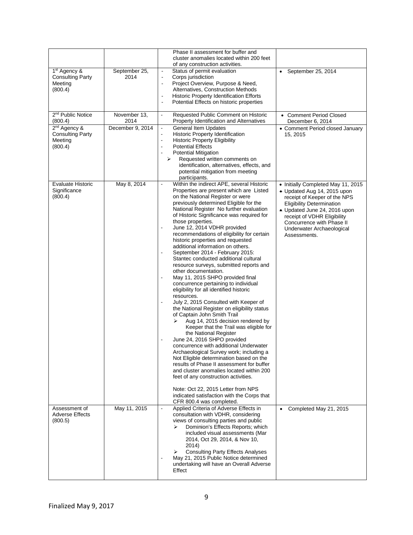|                                                                           |                       | Phase II assessment for buffer and<br>cluster anomalies located within 200 feet<br>of any construction activities.                                                                                                                                                                                                                                                                                                                                                                                                                                                                                                                                                                                                                                                                                                                                                                                                                                                                                                                                                                                                                                                                                                                                                                                                                                                                                                 |                                                                                                                                                                                                                                                                                |
|---------------------------------------------------------------------------|-----------------------|--------------------------------------------------------------------------------------------------------------------------------------------------------------------------------------------------------------------------------------------------------------------------------------------------------------------------------------------------------------------------------------------------------------------------------------------------------------------------------------------------------------------------------------------------------------------------------------------------------------------------------------------------------------------------------------------------------------------------------------------------------------------------------------------------------------------------------------------------------------------------------------------------------------------------------------------------------------------------------------------------------------------------------------------------------------------------------------------------------------------------------------------------------------------------------------------------------------------------------------------------------------------------------------------------------------------------------------------------------------------------------------------------------------------|--------------------------------------------------------------------------------------------------------------------------------------------------------------------------------------------------------------------------------------------------------------------------------|
| 1 <sup>st</sup> Agency &<br><b>Consulting Party</b><br>Meeting<br>(800.4) | September 25,<br>2014 | Status of permit evaluation<br>Corps jurisdiction<br>$\blacksquare$<br>Project Overview, Purpose & Need,<br>$\blacksquare$<br>Alternatives, Construction Methods<br>Historic Property Identification Efforts<br>Potential Effects on historic properties<br>$\overline{\phantom{a}}$                                                                                                                                                                                                                                                                                                                                                                                                                                                                                                                                                                                                                                                                                                                                                                                                                                                                                                                                                                                                                                                                                                                               | September 25, 2014                                                                                                                                                                                                                                                             |
| 2 <sup>nd</sup> Public Notice<br>(800.4)                                  | November 13,<br>2014  | Requested Public Comment on Historic<br>$\blacksquare$<br>Property Identification and Alternatives                                                                                                                                                                                                                                                                                                                                                                                                                                                                                                                                                                                                                                                                                                                                                                                                                                                                                                                                                                                                                                                                                                                                                                                                                                                                                                                 | • Comment Period Closed<br>December 6, 2014                                                                                                                                                                                                                                    |
| 2 <sup>nd</sup> Agency &<br><b>Consulting Party</b><br>Meeting<br>(800.4) | December 9, 2014      | <b>General Item Updates</b><br>$\centerdot$<br><b>Historic Property Identification</b><br>$\blacksquare$<br><b>Historic Property Eligibility</b><br>$\blacksquare$<br><b>Potential Effects</b><br>$\blacksquare$<br><b>Potential Mitigation</b><br>$\overline{\phantom{a}}$<br>Requested written comments on<br>➤<br>identification, alternatives, effects, and<br>potential mitigation from meeting<br>participants.                                                                                                                                                                                                                                                                                                                                                                                                                                                                                                                                                                                                                                                                                                                                                                                                                                                                                                                                                                                              | • Comment Period closed January<br>15, 2015                                                                                                                                                                                                                                    |
| <b>Evaluate Historic</b><br>Significance<br>(800.4)                       | May 8, 2014           | Within the indirect APE, several Historic<br>Properties are present which are Listed<br>on the National Register or were<br>previously determined Eligible for the<br>National Register No further evaluation<br>of Historic Significance was required for<br>those properties.<br>June 12, 2014 VDHR provided<br>$\overline{a}$<br>recommendations of eligibility for certain<br>historic properties and requested<br>additional information on others.<br>September 2014 - February 2015:<br>$\overline{a}$<br>Stantec conducted additional cultural<br>resource surveys, submitted reports and<br>other documentation.<br>May 11, 2015 SHPO provided final<br>concurrence pertaining to individual<br>eligibility for all identified historic<br>resources.<br>July 2, 2015 Consulted with Keeper of<br>the National Register on eligibility status<br>of Captain John Smith Trail<br>Aug 14, 2015 decision rendered by<br>⋗<br>Keeper that the Trail was eligible for<br>the National Register<br>June 24, 2016 SHPO provided<br>concurrence with additional Underwater<br>Archaeological Survey work; including a<br>Not Eligible determination based on the<br>results of Phase II assessment for buffer<br>and cluster anomalies located within 200<br>feet of any construction activities.<br>Note: Oct 22, 2015 Letter from NPS<br>indicated satisfaction with the Corps that<br>CFR 800.4 was completed. | • Initially Completed May 11, 2015<br>• Updated Aug 14, 2015 upon<br>receipt of Keeper of the NPS<br><b>Eligibility Determination</b><br>• Updated June 24, 2016 upon<br>receipt of VDHR Eligibility<br>Concurrence with Phase II<br>Underwater Archaeological<br>Assessments. |
| Assessment of<br><b>Adverse Effects</b><br>(800.5)                        | May 11, 2015          | Applied Criteria of Adverse Effects in<br>consultation with VDHR, considering<br>views of consulting parties and public<br>Dominion's Effects Reports; which<br>⋗<br>included visual assessments (Mar<br>2014, Oct 29, 2014, & Nov 10,<br>2014)<br><b>Consulting Party Effects Analyses</b><br>⋗<br>May 21, 2015 Public Notice determined<br>undertaking will have an Overall Adverse<br>Effect                                                                                                                                                                                                                                                                                                                                                                                                                                                                                                                                                                                                                                                                                                                                                                                                                                                                                                                                                                                                                    | Completed May 21, 2015<br>$\bullet$                                                                                                                                                                                                                                            |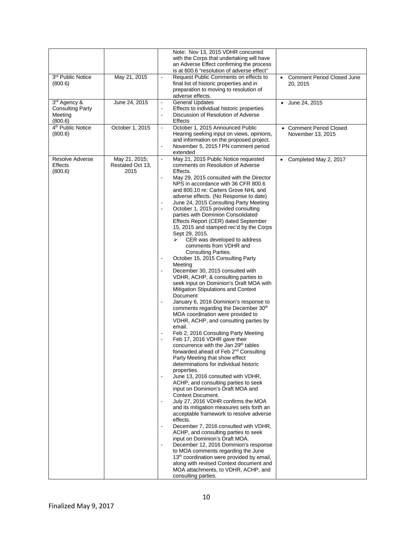|                                          |                          | Note: Nov 13, 2015 VDHR concurred<br>with the Corps that undertaking will have<br>an Adverse Effect confirming the process  |                                                            |
|------------------------------------------|--------------------------|-----------------------------------------------------------------------------------------------------------------------------|------------------------------------------------------------|
|                                          |                          | is at 800.6 "resolution of adverse effect"                                                                                  |                                                            |
| 3 <sup>rd</sup> Public Notice<br>(800.6) | May 21, 2015             | Request Public Comments on effects to<br>final list of historic properties and in<br>preparation to moving to resolution of | <b>Comment Period Closed June</b><br>$\bullet$<br>20, 2015 |
| 3rd Agency &                             | June 24, 2015            | adverse effects.<br><b>General Updates</b><br>$\blacksquare$                                                                | • June 24, 2015                                            |
| <b>Consulting Party</b>                  |                          | Effects to individual historic properties<br>$\overline{a}$                                                                 |                                                            |
| Meeting<br>(800.6)                       |                          | Discussion of Resolution of Adverse<br>$\blacksquare$<br>Effects                                                            |                                                            |
| 4 <sup>th</sup> Public Notice<br>(800.6) | October 1, 2015          | October 1, 2015 Announced Public<br>$\blacksquare$<br>Hearing seeking input on views, opinions,                             | • Comment Period Closed<br>November 13, 2015               |
|                                          |                          | and information on the proposed project.                                                                                    |                                                            |
|                                          |                          | November 5, 2015 f PN comment period<br>$\overline{a}$<br>extended                                                          |                                                            |
| <b>Resolve Adverse</b>                   | May 21, 2015;            | May 21, 2015 Public Notice requested<br>$\blacksquare$                                                                      | Completed May 2, 2017<br>$\bullet$                         |
| Effects<br>(800.6)                       | Restated Oct 13,<br>2015 | comments on Resolution of Adverse<br>Effects.                                                                               |                                                            |
|                                          |                          | May 29, 2015 consulted with the Director                                                                                    |                                                            |
|                                          |                          | NPS in accordance with 36 CFR 800.6<br>and 800.10 re: Carters Grove NHL and                                                 |                                                            |
|                                          |                          | adverse effects. (No Response to date)                                                                                      |                                                            |
|                                          |                          | June 24, 2015 Consulting Party Meeting                                                                                      |                                                            |
|                                          |                          | October 1, 2015 provided consulting<br>$\overline{a}$<br>parties with Dominion Consolidated                                 |                                                            |
|                                          |                          | Effects Report (CER) dated September                                                                                        |                                                            |
|                                          |                          | 15, 2015 and stamped rec'd by the Corps                                                                                     |                                                            |
|                                          |                          | Sept 29, 2015.<br>CER was developed to address<br>⋗                                                                         |                                                            |
|                                          |                          | comments from VDHR and                                                                                                      |                                                            |
|                                          |                          | <b>Consulting Parties.</b>                                                                                                  |                                                            |
|                                          |                          | October 15, 2015 Consulting Party<br>Meeting                                                                                |                                                            |
|                                          |                          | December 30, 2015 consulted with<br>$\blacksquare$                                                                          |                                                            |
|                                          |                          | VDHR, ACHP, & consulting parties to<br>seek input on Dominion's Draft MOA with                                              |                                                            |
|                                          |                          | Mitigation Stipulations and Context                                                                                         |                                                            |
|                                          |                          | Document                                                                                                                    |                                                            |
|                                          |                          | January 6, 2016 Dominion's response to<br>comments regarding the December 30th                                              |                                                            |
|                                          |                          | MOA coordination were provided to                                                                                           |                                                            |
|                                          |                          | VDHR, ACHP, and consulting parties by                                                                                       |                                                            |
|                                          |                          | email.<br>Feb 2, 2016 Consulting Party Meeting<br>$\overline{a}$                                                            |                                                            |
|                                          |                          | Feb 17, 2016 VDHR gave their                                                                                                |                                                            |
|                                          |                          | concurrence with the Jan 29th tables<br>forwarded ahead of Feb 2 <sup>nd</sup> Consulting                                   |                                                            |
|                                          |                          | Party Meeting that show effect                                                                                              |                                                            |
|                                          |                          | determinations for individual historic                                                                                      |                                                            |
|                                          |                          | properties.<br>June 13, 2016 consulted with VDHR,                                                                           |                                                            |
|                                          |                          | ACHP, and consulting parties to seek                                                                                        |                                                            |
|                                          |                          | input on Dominion's Draft MOA and<br>Context Document.                                                                      |                                                            |
|                                          |                          | July 27, 2016 VDHR confirms the MOA<br>$\overline{a}$                                                                       |                                                            |
|                                          |                          | and its mitigation measures sets forth an                                                                                   |                                                            |
|                                          |                          | acceptable framework to resolve adverse<br>effects.                                                                         |                                                            |
|                                          |                          | December 7, 2016 consulted with VDHR,<br>$\overline{a}$                                                                     |                                                            |
|                                          |                          | ACHP, and consulting parties to seek<br>input on Dominion's Draft MOA.                                                      |                                                            |
|                                          |                          | December 12, 2016 Dominion's response                                                                                       |                                                            |
|                                          |                          | to MOA comments regarding the June                                                                                          |                                                            |
|                                          |                          | 13 <sup>th</sup> coordination were provided by email,<br>along with revised Context document and                            |                                                            |
|                                          |                          | MOA attachments, to VDHR, ACHP, and                                                                                         |                                                            |
|                                          |                          | consulting parties.                                                                                                         |                                                            |